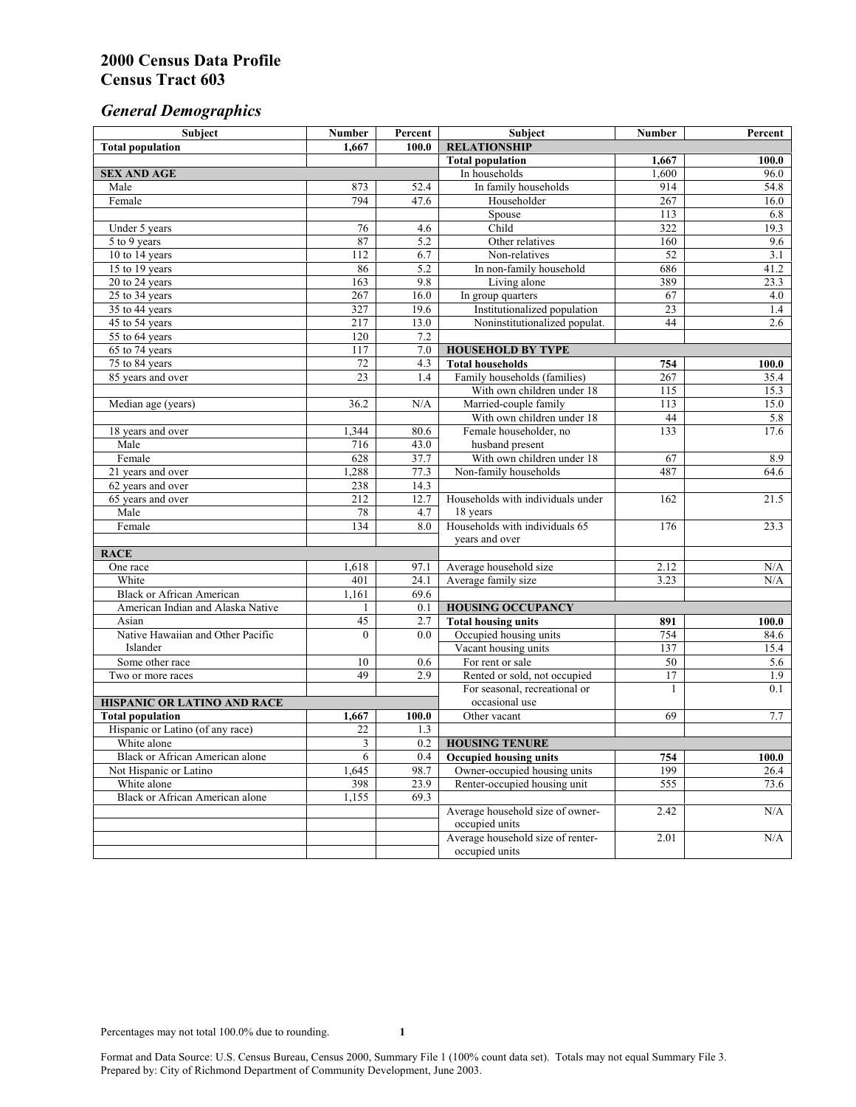# *General Demographics*

| Subject                                | <b>Number</b>           | Percent          | Subject                                             | <b>Number</b> | Percent      |
|----------------------------------------|-------------------------|------------------|-----------------------------------------------------|---------------|--------------|
| <b>Total population</b>                | 1.667                   | 100.0            | <b>RELATIONSHIP</b>                                 |               |              |
|                                        |                         |                  | <b>Total population</b>                             | 1,667         | 100.0        |
| <b>SEX AND AGE</b>                     |                         |                  | In households                                       | 1,600         | 96.0         |
| Male                                   | 873                     | 52.4             | In family households                                | 914           | 54.8         |
| Female                                 | 794                     | 47.6             | Householder                                         | 267           | 16.0         |
|                                        |                         |                  | Spouse                                              | 113           | 6.8          |
| Under 5 years                          | 76                      | 4.6              | Child                                               | 322           | 19.3         |
| 5 to 9 years                           | 87                      | $\overline{5.2}$ | Other relatives                                     | 160           | 9.6          |
| 10 to 14 years                         | 112                     | 6.7              | Non-relatives                                       | 52            | 3.1          |
| 15 to 19 years                         | 86                      | 5.2              | In non-family household                             | 686           | 41.2         |
| 20 to 24 years                         | 163                     | 9.8              | Living alone                                        | 389           | 23.3         |
| $25$ to 34 years                       | 267                     | 16.0             | In group quarters                                   | 67            | 4.0          |
| 35 to 44 years                         | 327                     | 19.6             | Institutionalized population                        | 23            | 1.4          |
| 45 to 54 years                         | 217                     | 13.0             | Noninstitutionalized populat.                       | 44            | 2.6          |
| 55 to 64 years                         | 120<br>$\overline{117}$ | 7.2<br>7.0       |                                                     |               |              |
| 65 to 74 years                         |                         | 4.3              | <b>HOUSEHOLD BY TYPE</b><br><b>Total households</b> |               |              |
| 75 to 84 years                         | 72<br>23                | 1.4              | Family households (families)                        | 754<br>267    | 100.0        |
| 85 years and over                      |                         |                  | With own children under 18                          | 115           | 35.4<br>15.3 |
| Median age (years)                     | 36.2                    | N/A              | Married-couple family                               | 113           | 15.0         |
|                                        |                         |                  | With own children under 18                          | 44            | 5.8          |
| 18 years and over                      | 1,344                   | 80.6             | Female householder, no                              | 133           | 17.6         |
| Male                                   | 716                     | 43.0             | husband present                                     |               |              |
| Female                                 | 628                     | 37.7             | With own children under 18                          | 67            | 8.9          |
| 21 years and over                      | 1,288                   | 77.3             | Non-family households                               | 487           | 64.6         |
| 62 years and over                      | 238                     | 14.3             |                                                     |               |              |
| 65 years and over                      | 212                     | 12.7             | Households with individuals under                   | 162           | 21.5         |
| Male                                   | 78                      | 4.7              | 18 years                                            |               |              |
| Female                                 | 134                     | 8.0              | Households with individuals 65                      | 176           | 23.3         |
|                                        |                         |                  | years and over                                      |               |              |
| <b>RACE</b>                            |                         |                  |                                                     |               |              |
| One race                               | 1,618                   | 97.1             | Average household size                              | 2.12          | N/A          |
| White                                  | 401                     | 24.1             | Average family size                                 | 3.23          | N/A          |
| <b>Black or African American</b>       | 1,161                   | 69.6             |                                                     |               |              |
| American Indian and Alaska Native      | 1                       | 0.1              | <b>HOUSING OCCUPANCY</b>                            |               |              |
| Asian                                  | 45                      | 2.7              | <b>Total housing units</b>                          | 891           | 100.0        |
| Native Hawaiian and Other Pacific      | $\theta$                | 0.0              | Occupied housing units                              | 754           | 84.6         |
| Islander                               |                         |                  | Vacant housing units                                | 137           | 15.4         |
| Some other race                        | 10                      | 0.6              | For rent or sale                                    | 50            | 5.6          |
| Two or more races                      | 49                      | $\overline{2.9}$ | Rented or sold, not occupied                        | 17            | 1.9          |
|                                        |                         |                  | For seasonal, recreational or                       | 1             | 0.1          |
| HISPANIC OR LATINO AND RACE            |                         |                  | occasional use                                      |               |              |
| <b>Total population</b>                | 1,667                   | 100.0            | Other vacant                                        | 69            | 7.7          |
| Hispanic or Latino (of any race)       | 22                      | 1.3              |                                                     |               |              |
| White alone                            | 3                       | 0.2              | <b>HOUSING TENURE</b>                               |               |              |
| Black or African American alone        | 6                       | 0.4              | <b>Occupied housing units</b>                       | 754           | 100.0        |
| Not Hispanic or Latino                 | 1,645                   | 98.7             | Owner-occupied housing units                        | 199           | 26.4         |
| White alone                            | 398                     | 23.9             | Renter-occupied housing unit                        | 555           | 73.6         |
| <b>Black or African American alone</b> | 1,155                   | 69.3             |                                                     |               |              |
|                                        |                         |                  | Average household size of owner-                    | 2.42          | N/A          |
|                                        |                         |                  | occupied units                                      |               |              |
|                                        |                         |                  | Average household size of renter-                   | 2.01          | N/A          |
|                                        |                         |                  | occupied units                                      |               |              |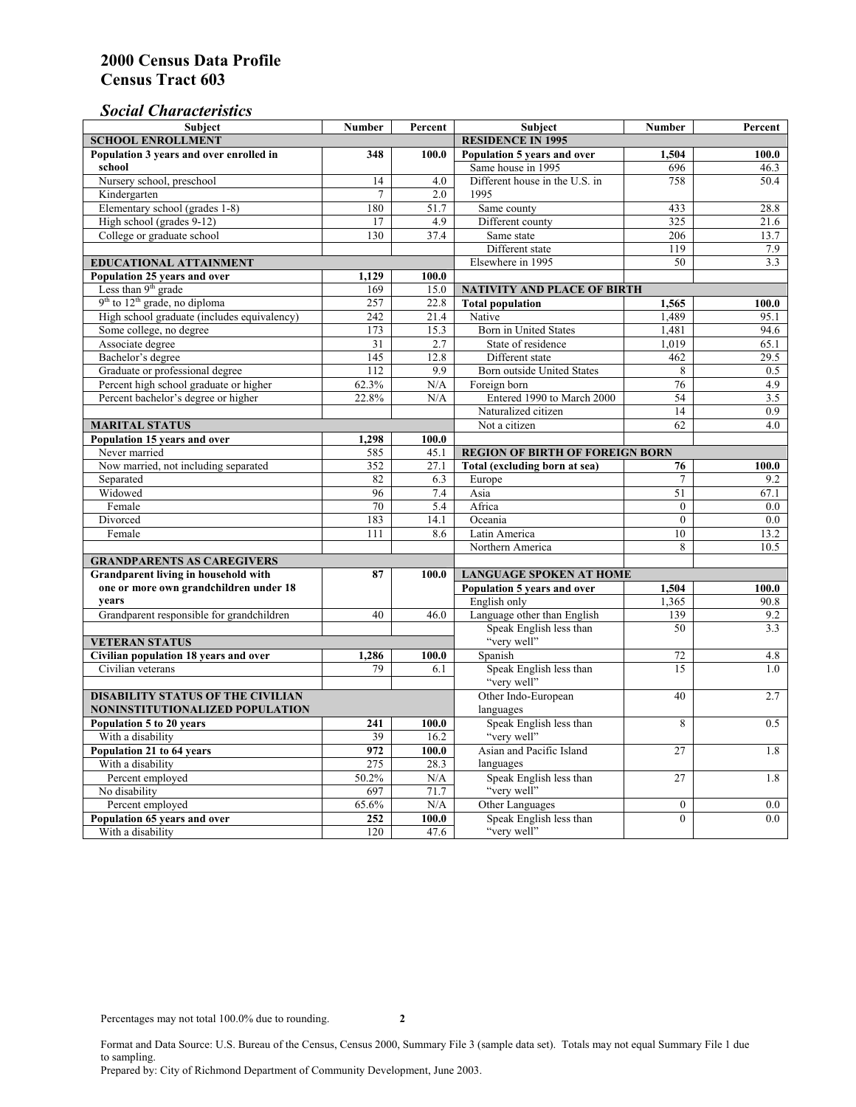## *Social Characteristics*

| <b>Subject</b>                                      | <b>Number</b>            | Percent | <b>Subject</b>                         | <b>Number</b>  | Percent |
|-----------------------------------------------------|--------------------------|---------|----------------------------------------|----------------|---------|
| <b>SCHOOL ENROLLMENT</b>                            | <b>RESIDENCE IN 1995</b> |         |                                        |                |         |
| Population 3 years and over enrolled in             | 348                      | 100.0   | Population 5 years and over            | 1,504          | 100.0   |
| school                                              |                          |         | Same house in 1995                     | 696            | 46.3    |
| Nursery school, preschool                           | 14                       | 4.0     | Different house in the U.S. in         | 758            | 50.4    |
| Kindergarten                                        | 7                        | 2.0     | 1995                                   |                |         |
| Elementary school (grades 1-8)                      | 180                      | 51.7    | Same county                            | 433            | 28.8    |
| High school (grades 9-12)                           | 17                       | 4.9     | Different county                       | 325            | 21.6    |
| College or graduate school                          | 130                      | 37.4    | Same state                             | 206            | 13.7    |
|                                                     |                          |         | Different state                        | 119            | 7.9     |
| <b>EDUCATIONAL ATTAINMENT</b>                       |                          |         | Elsewhere in 1995                      | 50             | 3.3     |
| Population 25 years and over                        | 1,129                    | 100.0   |                                        |                |         |
| Less than 9 <sup>th</sup> grade                     | 169                      | 15.0    | NATIVITY AND PLACE OF BIRTH            |                |         |
| $9th$ to $12th$ grade, no diploma                   | 257                      | 22.8    | <b>Total population</b>                | 1,565          | 100.0   |
| High school graduate (includes equivalency)         | 242                      | 21.4    | Native                                 | 1.489          | 95.1    |
| Some college, no degree                             | 173                      | 15.3    | <b>Born</b> in United States           | 1,481          | 94.6    |
| Associate degree                                    | 31                       | 2.7     | State of residence                     | 1,019          | 65.1    |
| Bachelor's degree                                   | 145                      | 12.8    | Different state                        | 462            | 29.5    |
| Graduate or professional degree                     | 112                      | 9.9     | Born outside United States             | 8              | 0.5     |
| Percent high school graduate or higher              | 62.3%                    | N/A     | Foreign born                           | 76             | 4.9     |
| Percent bachelor's degree or higher                 | 22.8%                    | N/A     | Entered 1990 to March 2000             | 54             | 3.5     |
|                                                     |                          |         | Naturalized citizen                    | 14             | 0.9     |
| <b>MARITAL STATUS</b>                               | Not a citizen            | 62      | 4.0                                    |                |         |
| Population 15 years and over                        | 1,298                    | 100.0   |                                        |                |         |
| Never married                                       | 585                      | 45.1    | <b>REGION OF BIRTH OF FOREIGN BORN</b> |                |         |
| Now married, not including separated                | 352                      | 27.1    | Total (excluding born at sea)          | 76             | 100.0   |
| Separated                                           | 82                       | 6.3     | Europe                                 | $\overline{7}$ | 9.2     |
| Widowed                                             | 96                       | 7.4     | Asia                                   | 51             | 67.1    |
| Female                                              | 70                       | 5.4     | Africa                                 | $\theta$       | 0.0     |
| Divorced                                            | 183                      | 14.1    | Oceania                                | $\Omega$       | 0.0     |
| Female                                              | 111                      | 8.6     | Latin America                          | 10             | 13.2    |
|                                                     |                          |         | Northern America                       | 8              | 10.5    |
| <b>GRANDPARENTS AS CAREGIVERS</b>                   |                          |         |                                        |                |         |
| Grandparent living in household with<br>87<br>100.0 |                          |         | <b>LANGUAGE SPOKEN AT HOME</b>         |                |         |
| one or more own grandchildren under 18              |                          |         | Population 5 years and over            | 1,504          | 100.0   |
| years                                               |                          |         | English only                           | 1,365          | 90.8    |
| Grandparent responsible for grandchildren           | 40                       | 46.0    | Language other than English            | 139            | 9.2     |
|                                                     |                          |         | Speak English less than                | 50             | 3.3     |
| <b>VETERAN STATUS</b>                               |                          |         | "very well"                            |                |         |
| Civilian population 18 years and over               | 1,286                    | 100.0   | Spanish                                | 72             | 4.8     |
| Civilian veterans                                   | 79                       | 6.1     | Speak English less than                | 15             | 1.0     |
|                                                     |                          |         | "very well"                            |                |         |
| <b>DISABILITY STATUS OF THE CIVILIAN</b>            | Other Indo-European      | 40      | 2.7                                    |                |         |
| NONINSTITUTIONALIZED POPULATION                     | languages                |         |                                        |                |         |
| Population 5 to 20 years                            | 241                      | 100.0   | Speak English less than                | 8              | 0.5     |
| With a disability                                   | 39                       | 16.2    | "very well"                            |                |         |
| Population 21 to 64 years                           | 972                      | 100.0   | Asian and Pacific Island               | 27             | 1.8     |
| With a disability                                   | 275                      | 28.3    | languages                              |                |         |
| Percent employed                                    | 50.2%                    | N/A     | Speak English less than                | 27             | 1.8     |
| No disability                                       | 697                      | 71.7    | "very well"                            |                |         |
| Percent employed                                    | 65.6%                    | N/A     | Other Languages                        | $\mathbf{0}$   | $0.0\,$ |
| Population 65 years and over                        | 252                      | 100.0   | Speak English less than                | $\mathbf{0}$   | 0.0     |
| With a disability                                   | 120                      | 47.6    | "very well"                            |                |         |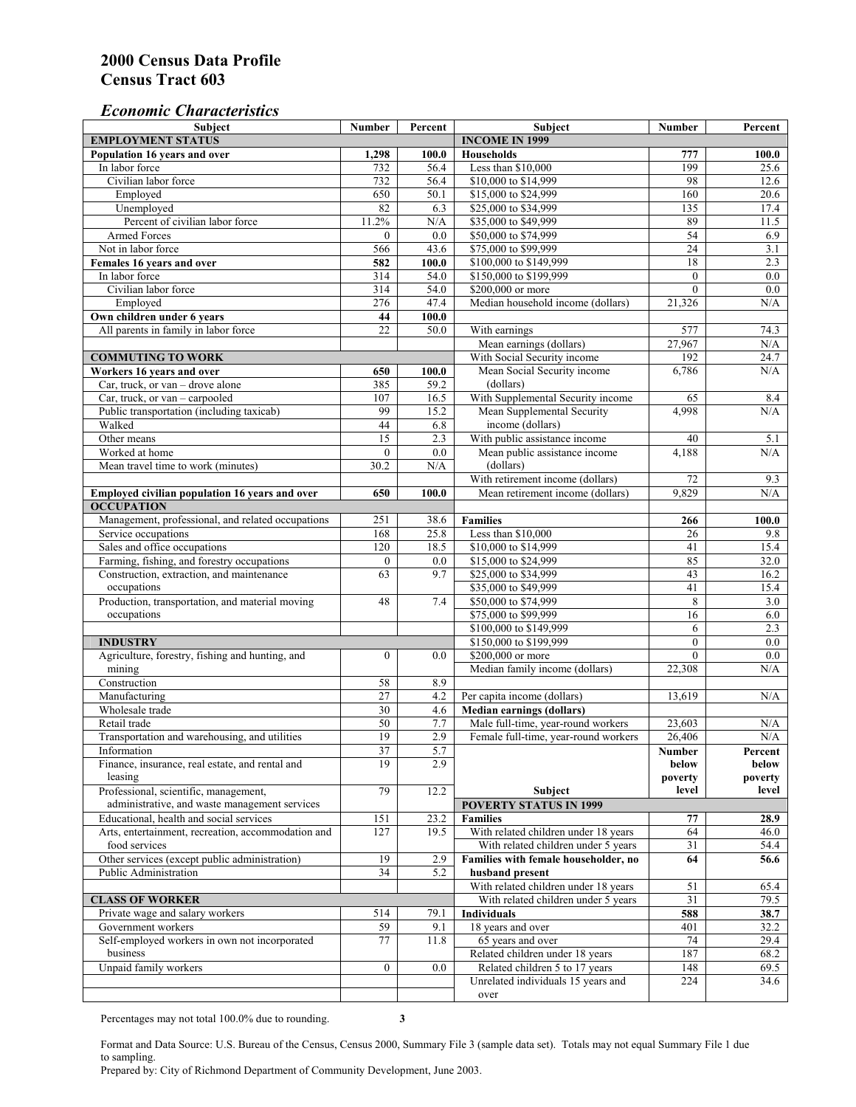#### *Economic Characteristics*

| <b>Subject</b>                                            | Number           | Percent     | Subject                                              | Number          | Percent          |
|-----------------------------------------------------------|------------------|-------------|------------------------------------------------------|-----------------|------------------|
| <b>EMPLOYMENT STATUS</b>                                  |                  |             | <b>INCOME IN 1999</b>                                |                 |                  |
| Population 16 years and over                              | 1,298            | 100.0       | <b>Households</b>                                    | 777             | 100.0            |
| In labor force                                            | 732              | 56.4        | Less than \$10,000                                   | 199             | 25.6             |
| Civilian labor force                                      | 732              | 56.4        | \$10,000 to \$14,999                                 | 98              | 12.6             |
| Employed                                                  | 650              | 50.1        | \$15,000 to \$24,999                                 | 160             | 20.6             |
| Unemployed                                                | 82               | 6.3         | \$25,000 to \$34,999                                 | 135             | 17.4             |
| Percent of civilian labor force                           | 11.2%            | N/A         | \$35,000 to \$49,999                                 | 89              | 11.5             |
| Armed Forces                                              | $\mathbf{0}$     | 0.0         | \$50,000 to \$74,999                                 | 54              | 6.9              |
| Not in labor force                                        | 566              | 43.6        | \$75,000 to \$99,999                                 | 24              | 3.1              |
| Females 16 years and over                                 | 582              | 100.0       | \$100,000 to \$149,999                               | 18              | 2.3              |
| In labor force                                            | 314              | 54.0        | \$150,000 to \$199,999                               | $\mathbf{0}$    | $\overline{0.0}$ |
| Civilian labor force                                      | 314              | 54.0        | \$200,000 or more                                    | $\mathbf{0}$    | 0.0              |
| Employed                                                  | 276              | 47.4        | Median household income (dollars)                    | 21.326          | N/A              |
| Own children under 6 years                                | 44               | 100.0       |                                                      |                 |                  |
| All parents in family in labor force                      | 22               | 50.0        | With earnings                                        | 577             | 74.3             |
|                                                           |                  |             | Mean earnings (dollars)                              | 27,967          | N/A              |
| <b>COMMUTING TO WORK</b>                                  |                  |             | With Social Security income                          | 192             | 24.7             |
| Workers 16 years and over                                 | 650              | 100.0       | Mean Social Security income                          | 6,786           | N/A              |
| Car, truck, or van – drove alone                          | 385              | 59.2        | (dollars)                                            |                 |                  |
| Car, truck, or van - carpooled                            | 107              | 16.5        | With Supplemental Security income                    | 65              | 8.4              |
| Public transportation (including taxicab)                 | 99               | 15.2        | Mean Supplemental Security                           | 4,998           | N/A              |
| Walked                                                    | 44               | 6.8         | income (dollars)                                     |                 |                  |
| Other means                                               | $\overline{15}$  | 2.3         | With public assistance income                        | 40              | 5.1              |
| Worked at home                                            | $\mathbf{0}$     | 0.0         | Mean public assistance income                        | 4,188           | N/A              |
| Mean travel time to work (minutes)                        | 30.2             | N/A         | (dollars)                                            |                 |                  |
|                                                           |                  |             | With retirement income (dollars)                     | $\overline{72}$ | 9.3              |
| Employed civilian population 16 years and over            | 650              | 100.0       | Mean retirement income (dollars)                     | 9,829           | N/A              |
| <b>OCCUPATION</b>                                         |                  |             |                                                      |                 |                  |
| Management, professional, and related occupations         | 251              | 38.6        | <b>Families</b>                                      | 266             | 100.0            |
| Service occupations                                       | 168              | 25.8        | Less than \$10,000                                   | 26              | 9.8              |
| Sales and office occupations                              | 120              | 18.5        | \$10,000 to \$14,999                                 | 41              | 15.4             |
| Farming, fishing, and forestry occupations                | $\boldsymbol{0}$ | 0.0         | \$15,000 to \$24,999                                 | 85              | 32.0             |
| Construction, extraction, and maintenance                 | 63               | 9.7         | \$25,000 to \$34,999                                 | 43              | 16.2             |
| occupations                                               |                  |             | \$35,000 to \$49,999                                 | 41              | 15.4             |
| Production, transportation, and material moving           | 48               | 7.4         | \$50,000 to \$74,999                                 | 8               | 3.0              |
| occupations                                               |                  |             | \$75,000 to \$99,999                                 | 16              | 6.0              |
|                                                           |                  |             | \$100,000 to \$149,999                               | 6               | 2.3              |
| <b>INDUSTRY</b>                                           |                  |             | \$150,000 to \$199,999                               | $\mathbf{0}$    | 0.0              |
| Agriculture, forestry, fishing and hunting, and           | $\boldsymbol{0}$ | 0.0         | \$200,000 or more                                    | $\theta$        | 0.0              |
| mining                                                    |                  |             | Median family income (dollars)                       | 22,308          | N/A              |
| Construction                                              | 58               | 8.9         |                                                      |                 |                  |
| Manufacturing                                             | $\overline{27}$  | 4.2         | Per capita income (dollars)                          | 13,619          | N/A              |
| Wholesale trade                                           | $\overline{30}$  | 4.6         | <b>Median earnings (dollars)</b>                     |                 |                  |
| Retail trade                                              | 50               | 7.7         | Male full-time, year-round workers                   | 23,603          | N/A              |
| Transportation and warehousing, and utilities             | 19               | 2.9         | Female full-time, year-round workers                 | 26,406          | N/A              |
| Information                                               | 37               | 5.7         |                                                      | Number          | Percent          |
| Finance, insurance, real estate, and rental and           | 19               | 2.9         |                                                      | below           | below            |
| leasing                                                   |                  |             |                                                      | poverty         | poverty          |
| Professional, scientific, management,                     | 79               | 12.2        | Subject                                              | level           | level            |
| administrative, and waste management services             |                  |             | <b>POVERTY STATUS IN 1999</b>                        |                 |                  |
| Educational, health and social services                   | 151              | 23.2        | <b>Families</b>                                      | 77              | 28.9             |
| Arts, entertainment, recreation, accommodation and        | 127              | 19.5        | With related children under 18 years                 | 64              | 46.0             |
| food services                                             |                  |             | With related children under 5 years                  | 31              | 54.4             |
| Other services (except public administration)             | 19               | 2.9         | Families with female householder, no                 | 64              | 56.6             |
| Public Administration                                     | 34               | 5.2         | husband present                                      |                 |                  |
|                                                           |                  |             | With related children under 18 years                 | 51              | 65.4             |
| <b>CLASS OF WORKER</b>                                    |                  |             | With related children under 5 years                  | 31              | 79.5             |
| Private wage and salary workers                           | 514              | 79.1        | <b>Individuals</b>                                   | 588             | 38.7             |
| Government workers                                        |                  |             |                                                      |                 |                  |
|                                                           | 59<br>77         | 9.1<br>11.8 | 18 years and over                                    | 401<br>74       | 32.2             |
| Self-employed workers in own not incorporated<br>business |                  |             | 65 years and over<br>Related children under 18 years | 187             | 29.4             |
|                                                           |                  |             |                                                      |                 | 68.2             |
| Unpaid family workers                                     | $\boldsymbol{0}$ | 0.0         | Related children 5 to 17 years                       | 148             | 69.5             |
|                                                           |                  |             | Unrelated individuals 15 years and                   | 224             | 34.6             |
|                                                           |                  |             | over                                                 |                 |                  |

Percentages may not total 100.0% due to rounding. **3** 

Format and Data Source: U.S. Bureau of the Census, Census 2000, Summary File 3 (sample data set). Totals may not equal Summary File 1 due to sampling.

Prepared by: City of Richmond Department of Community Development, June 2003.